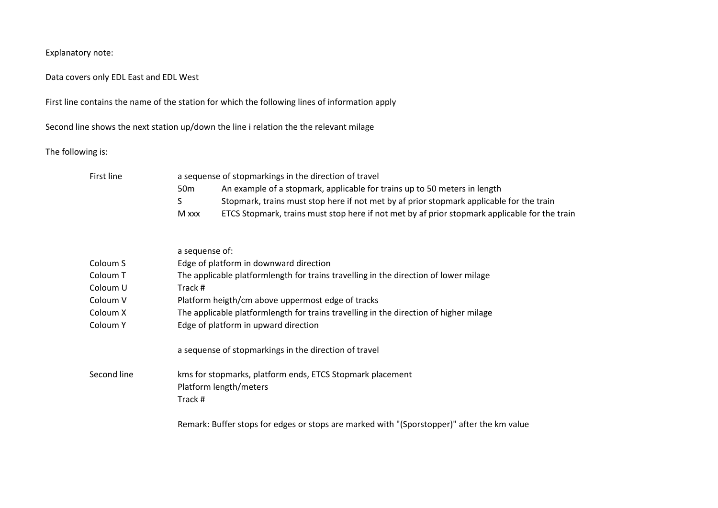Explanatory note:

Data covers only EDL East and EDL West

First line contains the name of the station for which the following lines of information apply

Second line shows the next station up/down the line i relation the the relevant milage

The following is:

| First line  | a sequense of stopmarkings in the direction of travel                                                  |
|-------------|--------------------------------------------------------------------------------------------------------|
|             | An example of a stopmark, applicable for trains up to 50 meters in length<br>50 <sub>m</sub>           |
|             | Stopmark, trains must stop here if not met by af prior stopmark applicable for the train<br>S          |
|             | ETCS Stopmark, trains must stop here if not met by af prior stopmark applicable for the train<br>M xxx |
|             | a sequense of:                                                                                         |
| Coloum S    | Edge of platform in downward direction                                                                 |
| Coloum T    | The applicable platformlength for trains travelling in the direction of lower milage                   |
| Coloum U    | Track #                                                                                                |
| Coloum V    | Platform heigth/cm above uppermost edge of tracks                                                      |
| Coloum X    | The applicable platformlength for trains travelling in the direction of higher milage                  |
| Coloum Y    | Edge of platform in upward direction                                                                   |
|             | a sequense of stopmarkings in the direction of travel                                                  |
| Second line | kms for stopmarks, platform ends, ETCS Stopmark placement                                              |
|             | Platform length/meters                                                                                 |
|             | Track #                                                                                                |
|             | Remark: Buffer stops for edges or stops are marked with "(Sporstopper)" after the km value             |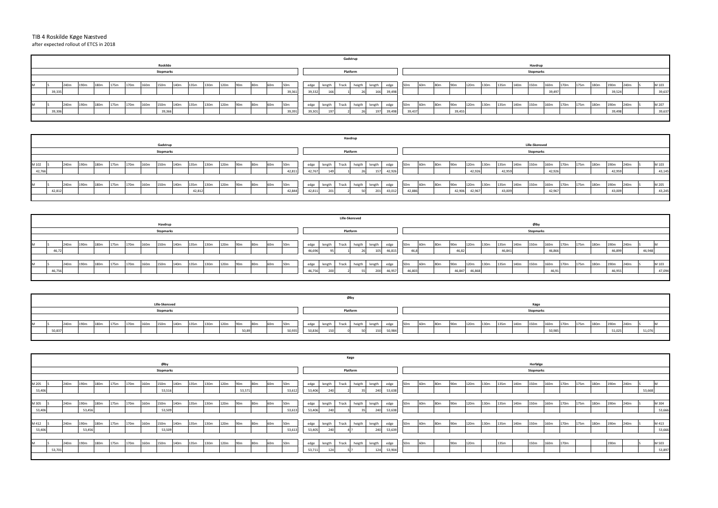|        |        |      |        |      |      |                  |      |                  |                  |      |      |      |                 |                 |                 |                 |        |        | Køge     |                 |        |        |                 |                 |                 |                 |      |      |      |      |                  |      |      |      |                  |                  |      |        |
|--------|--------|------|--------|------|------|------------------|------|------------------|------------------|------|------|------|-----------------|-----------------|-----------------|-----------------|--------|--------|----------|-----------------|--------|--------|-----------------|-----------------|-----------------|-----------------|------|------|------|------|------------------|------|------|------|------------------|------------------|------|--------|
|        |        |      |        |      |      |                  |      | Ølby             |                  |      |      |      |                 |                 |                 |                 |        |        |          |                 |        |        |                 |                 |                 |                 |      |      |      |      | Herfølge         |      |      |      |                  |                  |      |        |
|        |        |      |        |      |      |                  |      | <b>Stopmarks</b> |                  |      |      |      |                 |                 |                 |                 |        |        | Platform |                 |        |        |                 |                 |                 |                 |      |      |      |      | <b>Stopmarks</b> |      |      |      |                  |                  |      |        |
|        |        |      |        |      |      |                  |      |                  |                  |      |      |      |                 |                 |                 |                 |        |        |          |                 |        |        |                 |                 |                 |                 |      |      |      |      |                  |      |      |      |                  |                  |      |        |
| M 205  |        | 240m | 190m   | 180m | 175m | 170m             | 160m | 150m             | 140m             | 135m | 130m | 120m | 90 <sub>m</sub> | 180m            | 60 <sub>m</sub> | 50m             | edge   | length | Track    | heigth          | length | edge   | 50m             | 60 <sub>m</sub> | 80m             | 90 <sub>m</sub> | 120m | 130m | 135m | 140m | 150m             | 160m | 170m | 175m | 180m             | 190 <sub>m</sub> | 240m |        |
| 53,406 |        |      |        |      |      |                  |      | 53,516           |                  |      |      |      | 53,571          |                 |                 | 53,61           | 53,406 |        |          | 35 <sup>1</sup> | 240    | 53,638 |                 |                 |                 |                 |      |      |      |      |                  |      |      |      |                  |                  |      | 53,668 |
|        |        |      |        |      |      |                  |      |                  |                  |      |      |      |                 |                 |                 |                 |        |        |          |                 |        |        |                 |                 |                 |                 |      |      |      |      |                  |      |      |      |                  |                  |      |        |
| M 305  |        | 240m | 190m   | 180m | 175m | 170m             | 160m | 150m             | 140m             | 135m | 130m | 120m | 90 <sub>m</sub> | 180m            | 60 <sub>m</sub> | 50m             | edge   | length | Track    | heigth          | length | edge   | 50 <sub>m</sub> | 60 <sub>m</sub> | -80m            | 90 <sub>m</sub> | 120m | 130m | 135m | 140m | 150m             | 160m | 170m | 175m | 180 <sub>m</sub> | 190 <sub>m</sub> | 240m | M 304  |
| 53,406 |        |      | 53,456 |      |      |                  |      | 53,509           |                  |      |      |      |                 |                 |                 | 53,61           | 53,406 |        |          | 35              | 240    | 53,638 |                 |                 |                 |                 |      |      |      |      |                  |      |      |      |                  |                  |      | 53,666 |
|        |        |      |        |      |      |                  |      |                  |                  |      |      |      |                 |                 |                 |                 |        |        |          |                 |        |        |                 |                 |                 |                 |      |      |      |      |                  |      |      |      |                  |                  |      |        |
| M 412  |        | 240m | 190m   | 180m | 175m | 170 <sub>m</sub> | 160m | 150m             | 140m             | 135m | 130m | 120m | 90 <sub>m</sub> | 80 <sub>m</sub> | 60m             | 50 <sub>m</sub> | edge   | length | Track    | heigth          | length | edge   | 50 <sub>m</sub> | 60m             | 80 <sub>m</sub> | 90 <sub>m</sub> | 120m | 130m | 135m | 140m | 150m             | 160m | 170m | 175m | 180m             | 190 <sub>m</sub> | 240m | M 413  |
| 53,406 |        |      | 53,456 |      |      |                  |      | 53,509           |                  |      |      |      |                 |                 |                 | 53,61           | 53,405 |        |          |                 | 240    | 53,639 |                 |                 |                 |                 |      |      |      |      |                  |      |      |      |                  |                  |      | 53,666 |
|        |        |      |        |      |      |                  |      |                  |                  |      |      |      |                 |                 |                 |                 |        |        |          |                 |        |        |                 |                 |                 |                 |      |      |      |      |                  |      |      |      |                  |                  |      |        |
|        |        | 240m | 190m   | 180m | 175m | 170m             | 160m | 150m             | 140 <sub>m</sub> | 135m | 130m | 120m | 90 <sub>m</sub> | 180m            | 60 <sub>m</sub> | 50m             | edge   | length | Track    | heigth          | length | edge   | 50 <sub>m</sub> | 60 <sub>m</sub> |                 | 90m             | 120m |      | 135m |      | 150m             | 160m | 170m |      |                  | 190m             |      | M 503  |
|        | 53,701 |      |        |      |      |                  |      |                  |                  |      |      |      |                 |                 |                 |                 | 53,711 |        |          |                 |        | 53,904 |                 |                 |                 |                 |      |      |      |      |                  |      |      |      |                  |                  |      | 53,897 |
|        |        |      |        |      |      |                  |      |                  |                  |      |      |      |                 |                 |                 |                 |        |        |          |                 |        |        |                 |                 |                 |                 |      |      |      |      |                  |      |      |      |                  |                  |      |        |

| S. |                  |      |      |      |                  |      |        |   |
|----|------------------|------|------|------|------------------|------|--------|---|
|    |                  |      |      |      |                  |      |        |   |
|    | 160 <sub>m</sub> | 170m | 175m | 180m | 190 <sub>m</sub> | 240m |        | M |
|    | 50,985           |      |      |      | 51,025           |      | 51,076 |   |
|    |                  |      |      |      |                  |      |        |   |

|        |        |      |      |      |      |      |      |                  |                  |        |      |      |                 |                 |                 |                 |        |        |       | Havdrup      |        |        |                 |      |     |                 |        |      |        |      |                       |        |      |      |      |        |      |        |
|--------|--------|------|------|------|------|------|------|------------------|------------------|--------|------|------|-----------------|-----------------|-----------------|-----------------|--------|--------|-------|--------------|--------|--------|-----------------|------|-----|-----------------|--------|------|--------|------|-----------------------|--------|------|------|------|--------|------|--------|
|        |        |      |      |      |      |      |      | Gadstrup         |                  |        |      |      |                 |                 |                 |                 |        |        |       |              |        |        |                 |      |     |                 |        |      |        |      | <b>Lille-Skensved</b> |        |      |      |      |        |      |        |
|        |        |      |      |      |      |      |      | <b>Stopmarks</b> |                  |        |      |      |                 |                 |                 |                 |        |        |       | Platform     |        |        |                 |      |     |                 |        |      |        |      | <b>Stopmarks</b>      |        |      |      |      |        |      |        |
|        |        |      |      |      |      |      |      |                  |                  |        |      |      |                 |                 |                 |                 |        |        |       |              |        |        |                 |      |     |                 |        |      |        |      |                       |        |      |      |      |        |      |        |
| M 102  |        | 240m | 190m | 180m | 175m | 170m | 160m | 150m             | 140 <sub>m</sub> | 135m   | 130m | 120m | 90 <sub>m</sub> | 80m             | 60 <sub>m</sub> | 50 <sub>m</sub> | edge   | length | Track | heigth       | length | edge   | 50 <sub>m</sub> | 160m | 80m | 90 <sub>m</sub> | 120m   | 130m | 135m   | 140m | 150 <sub>m</sub>      | 160m   | 170m | 175m | 180m | 190m   | 240m | M 103  |
| 42,766 |        |      |      |      |      |      |      |                  |                  |        |      |      |                 |                 |                 | 42,811          | 42,767 |        |       |              |        | 42,926 |                 |      |     |                 | 42,926 |      | 42,95  |      |                       | 42,926 |      |      |      | 42,959 |      | 43,145 |
|        |        |      |      |      |      |      |      |                  |                  |        |      |      |                 |                 |                 |                 |        |        |       |              |        |        |                 |      |     |                 |        |      |        |      |                       |        |      |      |      |        |      |        |
| M      |        | 240m | 190m | 180m | 175m | 170m | 160m | 150m             | 140m             | 135m   | 130m | 120m | 90 <sub>m</sub> | 80 <sub>m</sub> | 60 <sub>m</sub> | 50 <sub>m</sub> | edge   | length |       | Track heigth | length | edge   | 50 <sub>m</sub> | 60m  | 80m | 90m             | 120m   | 130m | 135m   | 140m | 150m                  | 160m   | 170m | 175m | 180m | 190m   | 240m | M 205  |
|        | 42,812 |      |      |      |      |      |      |                  |                  | 42,812 |      |      |                 |                 |                 | 42,844          | 42,811 | 20 L   |       |              | 201    | 43,012 | 42,886          |      |     | 42,906          | 42,967 |      | 43,009 |      |                       | 42,967 |      |      |      | 43,009 |      | 43,245 |
|        |        |      |      |      |      |      |      |                  |                  |        |      |      |                 |                 |                 |                 |        |        |       |              |        |        |                 |      |     |                 |        |      |        |      |                       |        |      |      |      |        |      |        |

|   |        |      |                  |      |      |      |                  |                  |                  |      |                  |      |                 |                 |                 |                 |        |        |       | <b>Lille-Skensved</b> |        |        |                 |                 |     |                 |        |      |       |                  |                  |        |      |      |      |                  |      |        |        |
|---|--------|------|------------------|------|------|------|------------------|------------------|------------------|------|------------------|------|-----------------|-----------------|-----------------|-----------------|--------|--------|-------|-----------------------|--------|--------|-----------------|-----------------|-----|-----------------|--------|------|-------|------------------|------------------|--------|------|------|------|------------------|------|--------|--------|
|   |        |      |                  |      |      |      |                  | Havdrup          |                  |      |                  |      |                 |                 |                 |                 |        |        |       |                       |        |        |                 |                 |     |                 |        |      |       |                  | Ølby             |        |      |      |      |                  |      |        |        |
|   |        |      |                  |      |      |      |                  | <b>Stopmarks</b> |                  |      |                  |      |                 |                 |                 |                 |        |        |       | Platform              |        |        |                 |                 |     |                 |        |      |       |                  | <b>Stopmarks</b> |        |      |      |      |                  |      |        |        |
|   |        |      |                  |      |      |      |                  |                  |                  |      |                  |      |                 |                 |                 |                 |        |        |       |                       |        |        |                 |                 |     |                 |        |      |       |                  |                  |        |      |      |      |                  |      |        |        |
| M |        | 240m | 190m             | 180m | 175m | 170m | 160m             | 150m             | 140 <sub>m</sub> | 135m | 130 <sub>m</sub> | 120m | 90 <sub>m</sub> | 80 <sub>m</sub> | 60 <sub>m</sub> | 50 <sub>m</sub> | edge   | length | Track | heigth                | length | edge   | 50 <sub>m</sub> | 60 <sub>m</sub> | 80m | 90 <sub>m</sub> | 120m   | 130m | 135m  | 140 <sub>m</sub> | 150m             | 160m   | 170m | 175m | 180m | 190 <sub>m</sub> | 240m |        |        |
|   | 46,72  |      |                  |      |      |      |                  |                  |                  |      |                  |      |                 |                 |                 |                 | 46,696 |        |       |                       | 10     | 46,815 |                 | 46.8            |     | 46,82           |        |      | 46,84 |                  |                  | 46,866 |      |      |      | 46,899           |      | 46,948 |        |
|   |        |      |                  |      |      |      |                  |                  |                  |      |                  |      |                 |                 |                 |                 |        |        |       |                       |        |        |                 |                 |     |                 |        |      |       |                  |                  |        |      |      |      |                  |      |        |        |
| M |        | 240m | 190 <sub>m</sub> | 180m | 175m | 170m | 160 <sub>m</sub> | 150m             | 140m             | 135m | 130m             | 120m | 90m             | 80 <sub>m</sub> | 60 <sub>m</sub> | 50 <sub>m</sub> | edge   | length | Track | heigth                | length | edge   | 50 <sub>m</sub> | 160m            | 80m | 90m             | 120m   | 130m | 135m  | 140m             | 150m             | 160m   | 170m | 175m | 180m | 190 <sub>m</sub> | 240m |        | M 103  |
|   | 46,756 |      |                  |      |      |      |                  |                  |                  |      |                  |      |                 |                 |                 |                 | 46,756 |        |       |                       |        | 46,957 | 46,803          |                 |     | 46,847          | 46,868 |      |       |                  |                  | 46,91  |      |      |      | 46,955           |      |        | 47,094 |
|   |        |      |                  |      |      |      |                  |                  |                  |      |                  |      |                 |                 |                 |                 |        |        |       |                       |        |        |                 |                 |     |                 |        |      |       |                  |                  |        |      |      |      |                  |      |        |        |

## TIB 4 Roskilde Køge Næstved after expected rollout of ETCS in 2018

|   |        |      |                  |                  |      |      |      |                  |      |      |      |      |                 |     |                 |                 |        |        |              | Gadstrup     |        |        |                 |                 |                 |                 |      |                  |      |                  |                  |        |      |      |      |        |      |        |
|---|--------|------|------------------|------------------|------|------|------|------------------|------|------|------|------|-----------------|-----|-----------------|-----------------|--------|--------|--------------|--------------|--------|--------|-----------------|-----------------|-----------------|-----------------|------|------------------|------|------------------|------------------|--------|------|------|------|--------|------|--------|
|   |        |      |                  |                  |      |      |      | Roskilde         |      |      |      |      |                 |     |                 |                 |        |        |              |              |        |        |                 |                 |                 |                 |      |                  |      |                  | Havdrup          |        |      |      |      |        |      |        |
|   |        |      |                  |                  |      |      |      | Stopmarks        |      |      |      |      |                 |     |                 |                 |        |        |              | Platform     |        |        |                 |                 |                 |                 |      |                  |      |                  | <b>Stopmarks</b> |        |      |      |      |        |      |        |
|   |        |      |                  |                  |      |      |      |                  |      |      |      |      |                 |     |                 |                 |        |        |              |              |        |        |                 |                 |                 |                 |      |                  |      |                  |                  |        |      |      |      |        |      |        |
| M |        | 240m | 190m             | 180 <sub>m</sub> | 175m | 170m | 160m | 150 <sub>m</sub> | 140m | 135m | 130m | 120m | 90 <sub>m</sub> | 80m | 60 <sub>m</sub> | 50 <sub>m</sub> | edge   | length |              | Track heigth | length | edge   | 50 <sub>m</sub> | 60 <sub>m</sub> | 80 <sub>m</sub> | 90 <sub>m</sub> | 120m | 130 <sub>m</sub> | 135m | 140 <sub>m</sub> | 150m             | 160m   | 170m | 175m | 180m | 190m   | 240m | M 103  |
|   | 39,335 |      |                  |                  |      |      |      |                  |      |      |      |      |                 |     |                 | 39,361          | 39,332 |        |              |              | 166    | 39,498 |                 |                 |                 |                 |      |                  |      |                  |                  | 39,497 |      |      |      | 39,524 |      | 39,637 |
|   |        |      |                  |                  |      |      |      |                  |      |      |      |      |                 |     |                 |                 |        |        |              |              |        |        |                 |                 |                 |                 |      |                  |      |                  |                  |        |      |      |      |        |      |        |
| M |        | 240m | 190 <sub>m</sub> | 180m             | 175m | 170m | 160m | 150m             | 140m | 135m | 130m | 120m | 90 <sub>m</sub> | 80m | 60 <sub>m</sub> | 50 <sub>m</sub> | edge   | length | Track heigth |              | length | edge   | 50 <sub>m</sub> | 60 <sub>m</sub> | 80 <sub>m</sub> | 90 <sub>m</sub> | 120m | 130m             | 135m | 140m             | 150m             | 160m   | 170m | 175m | 180m | 190m   | 240m | M 207  |
|   | 39,306 |      |                  |                  |      |      |      | 39,366           |      |      |      |      |                 |     |                 | 39,391          | 39,301 |        |              |              |        | 39,498 | 39,437          |                 |                 | 39,455          |      |                  |      |                  |                  |        |      |      |      | 39,498 |      | 39,637 |
|   |        |      |                  |                  |      |      |      |                  |      |      |      |      |                 |     |                 |                 |        |        |              |              |        |        |                 |                 |                 |                 |      |                  |      |                  |                  |        |      |      |      |        |      |        |

|   |        |      |      |      |      |                  |      |                |      |      |      |      |                 |     |     |                 |        |        |       | Ølby     |            |        |      |                 |     |     |      |      |      |      |                  |        |                  |      |                  |        |      |        |  |
|---|--------|------|------|------|------|------------------|------|----------------|------|------|------|------|-----------------|-----|-----|-----------------|--------|--------|-------|----------|------------|--------|------|-----------------|-----|-----|------|------|------|------|------------------|--------|------------------|------|------------------|--------|------|--------|--|
|   |        |      |      |      |      |                  |      | Lille-Skensved |      |      |      |      |                 |     |     |                 |        |        |       |          |            |        |      |                 |     |     |      |      |      |      | Køge             |        |                  |      |                  |        |      |        |  |
|   |        |      |      |      |      |                  |      | Stopmarks      |      |      |      |      |                 |     |     |                 |        |        |       | Platform |            |        |      |                 |     |     |      |      |      |      | <b>Stopmarks</b> |        |                  |      |                  |        |      |        |  |
|   |        |      |      |      |      |                  |      |                |      |      |      |      |                 |     |     |                 |        |        |       |          |            |        |      |                 |     |     |      |      |      |      |                  |        |                  |      |                  |        |      |        |  |
| M |        | 240m | 190m | 180m | 175m | 170 <sub>m</sub> | 160m | 150m           | 140m | 135m | 130m | 120m | 90 <sub>m</sub> | 80m | 60m | 50 <sub>0</sub> | edge   | length | Track | heigth   |            | edge   | 150m | 60 <sub>m</sub> | 80m | 90m | 120m | 130m | 135m | 140m | 150m             | 160m   | 170 <sub>m</sub> | 175m | 180 <sub>m</sub> | 190m   | 240m |        |  |
|   | 50,837 |      |      |      |      |                  |      |                |      |      |      |      | 50,89           |     |     | 50,935          | 50,836 | 150    |       |          | 150<br>⊥⊃∪ | 50,984 |      |                 |     |     |      |      |      |      |                  | 50,985 |                  |      |                  | 51,025 |      | 51,076 |  |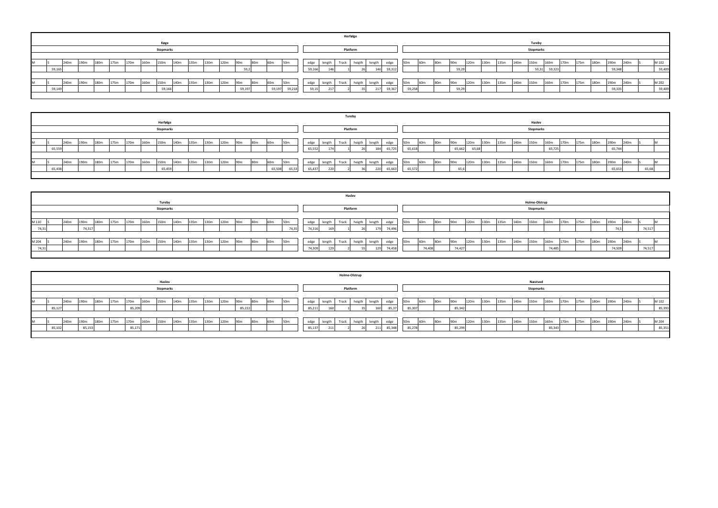|        |      |      |      |      |      |      |                  |                  |      |      |      |        |                 |                 |                 |        |       |        | Herfølge |        |               |        |                 |     |                 |       |      |      |      |      |                  |        |      |      |      |                  |      |        |
|--------|------|------|------|------|------|------|------------------|------------------|------|------|------|--------|-----------------|-----------------|-----------------|--------|-------|--------|----------|--------|---------------|--------|-----------------|-----|-----------------|-------|------|------|------|------|------------------|--------|------|------|------|------------------|------|--------|
|        |      |      |      |      |      |      | Køge             |                  |      |      |      |        |                 |                 |                 |        |       |        |          |        |               |        |                 |     |                 |       |      |      |      |      | <b>Tureby</b>    |        |      |      |      |                  |      |        |
|        |      |      |      |      |      |      | <b>Stopmarks</b> |                  |      |      |      |        |                 |                 |                 |        |       |        | Platform |        |               |        |                 |     |                 |       |      |      |      |      | <b>Stopmarks</b> |        |      |      |      |                  |      |        |
|        |      |      |      |      |      |      |                  |                  |      |      |      |        |                 |                 |                 |        |       |        |          |        |               |        |                 |     |                 |       |      |      |      |      |                  |        |      |      |      |                  |      |        |
|        | 240m | 190m | 180m | 175m | 170m | 160m | 150m             | 140 <sub>m</sub> | 135m | 130m | 120m | 90m    | 80 <sub>m</sub> | 60m             | 50 <sub>m</sub> | edge   |       | length | Track    |        | heigth length | edge   | 50 <sub>m</sub> | 60m | 80m             | 90m   | 120m | 130m | 135m | 140m | 150m             | 160m   | 170m | 175m | 180m | 190 <sub>m</sub> | 240m | M 102  |
| 59,165 |      |      |      |      |      |      |                  |                  |      |      |      |        | 59,2            |                 |                 | 59,166 |       |        |          |        |               | 59,312 |                 |     |                 | 59,29 |      |      |      |      | 59,31            | 59,323 |      |      |      | 59,348           |      | 59,409 |
|        |      |      |      |      |      |      |                  |                  |      |      |      |        |                 |                 |                 |        |       |        |          |        |               |        |                 |     |                 |       |      |      |      |      |                  |        |      |      |      |                  |      |        |
|        | 240m | 190m | 180m | 175m | 170m | 160m | 150m             | 140 <sub>m</sub> | 135m | 130m | 120m | 90m    | 80 <sub>m</sub> | 60 <sub>m</sub> | 50 <sub>m</sub> | edge   |       | length | Track    | heigth | length        | edge   | 50 <sub>m</sub> | 60m | 80 <sub>m</sub> | 90m   | 120m | 130m | 135m | 140m | 150m             | 160m   | 170m | 175m | 180m | 190 <sub>m</sub> | 240m | M 202  |
| 59,149 |      |      |      |      |      |      | 59,166           |                  |      |      |      | 59,197 |                 | 59,197          | 59,218          |        | 59,15 | 211    |          |        |               | 59,367 | 59,258          |     |                 | 59,29 |      |      |      |      |                  |        |      |      |      | 59,335           |      | 59,409 |
|        |      |      |      |      |      |      |                  |                  |      |      |      |        |                 |                 |                 |        |       |        |          |        |               |        |                 |     |                 |       |      |      |      |      |                  |        |      |      |      |                  |      |        |

|   |        |      |                  |                  |      |      |                  |           |                  |      |      |      |                 |     |        |                 |        |        |       | <b>Tureby</b> |        |        |                 |                 |                 |                 |       |      |      |      |                  |        |      |      |                  |        |      |                |  |
|---|--------|------|------------------|------------------|------|------|------------------|-----------|------------------|------|------|------|-----------------|-----|--------|-----------------|--------|--------|-------|---------------|--------|--------|-----------------|-----------------|-----------------|-----------------|-------|------|------|------|------------------|--------|------|------|------------------|--------|------|----------------|--|
|   |        |      |                  |                  |      |      |                  | Herfølge  |                  |      |      |      |                 |     |        |                 |        |        |       |               |        |        |                 |                 |                 |                 |       |      |      |      | Haslev           |        |      |      |                  |        |      |                |  |
|   |        |      |                  |                  |      |      |                  | Stopmarks |                  |      |      |      |                 |     |        |                 |        |        |       | Platform      |        |        |                 |                 |                 |                 |       |      |      |      | <b>Stopmarks</b> |        |      |      |                  |        |      |                |  |
|   |        |      |                  |                  |      |      |                  |           |                  |      |      |      |                 |     |        |                 |        |        |       |               |        |        |                 |                 |                 |                 |       |      |      |      |                  |        |      |      |                  |        |      |                |  |
| M |        | 240m | 190m             | 180m             | 175m | 170m | 160m             | 150m      | 140 <sub>m</sub> | 135m | 130m | 120m | 90 <sub>m</sub> | 80m | 60m    | 50 <sub>m</sub> | edge   | length | Track | heigth        | length | edge   | 50 <sub>m</sub> | 60 <sub>m</sub> | 80 <sub>m</sub> | 90m             | 120m  | 130m | 135m | 140m | 150m             | 160m   | 170m | 175m | 180 <sub>m</sub> | 190m   | 240m |                |  |
|   | 65,559 |      |                  |                  |      |      |                  |           |                  |      |      |      |                 |     |        |                 | 65,552 |        |       |               | 184    | 65,725 | 65,618          |                 |                 | 65,662          | 65,68 |      |      |      |                  | 65,725 |      |      |                  | 65,744 |      |                |  |
|   |        |      |                  |                  |      |      |                  |           |                  |      |      |      |                 |     |        |                 |        |        |       |               |        |        |                 |                 |                 |                 |       |      |      |      |                  |        |      |      |                  |        |      |                |  |
|   |        | 240m | 190 <sub>m</sub> | 180 <sub>m</sub> | 175m | 170m | 160 <sub>m</sub> | 150m      | 140m             | 135m | 130m | 120m | 90 <sub>m</sub> | 80m | 60m    | 50m             | edge   | length | Track | heigth        | length | edge   | 50 <sub>m</sub> | 60m             | 80m             | 90 <sub>m</sub> | 120m  | 130m | 135m | 140m | 150m             | 160m   | 170m | 175m | 180m             | 190m   |      |                |  |
|   | 65,438 |      |                  |                  |      |      |                  | 65,459    |                  |      |      |      |                 |     | 65,508 | 65,53           | 65,437 |        |       |               | 220    | 65,663 | 65,572          |                 |                 | 65,6            |       |      |      |      |                  |        |      |      |                  |        |      | 65,68          |  |
| M |        |      |                  |                  |      |      |                  |           |                  |      |      |      |                 |     |        |                 |        |        |       |               |        |        |                 |                 |                 |                 |       |      |      |      |                  |        |      |      |                  |        |      | 240m<br>65,653 |  |

|       |      |        |                  |      |      |      |                  |                  |      |      |      |                 |                 |     |                 |        |        |       | Haslev              |        |        |     |       |                 |                 |      |                  |      |      |                  |        |      |      |                  |                  |      |        |  |
|-------|------|--------|------------------|------|------|------|------------------|------------------|------|------|------|-----------------|-----------------|-----|-----------------|--------|--------|-------|---------------------|--------|--------|-----|-------|-----------------|-----------------|------|------------------|------|------|------------------|--------|------|------|------------------|------------------|------|--------|--|
|       |      |        |                  |      |      |      | Tureby           |                  |      |      |      |                 |                 |     |                 |        |        |       |                     |        |        |     |       |                 |                 |      |                  |      |      | Holme-Olstrup    |        |      |      |                  |                  |      |        |  |
|       |      |        |                  |      |      |      | <b>Stopmarks</b> |                  |      |      |      |                 |                 |     |                 |        |        |       | Platform            |        |        |     |       |                 |                 |      |                  |      |      | <b>Stopmarks</b> |        |      |      |                  |                  |      |        |  |
|       |      |        |                  |      |      |      |                  |                  |      |      |      |                 |                 |     |                 |        |        |       |                     |        |        |     |       |                 |                 |      |                  |      |      |                  |        |      |      |                  |                  |      |        |  |
| M 110 | 240m | 190m   | 180m             | 175m | 170m | 160m | 150m             | 140m             | 135m | 130m | 120m | 90m             | 80 <sub>m</sub> | 60m | 50 <sub>m</sub> | edge   | length | Track | heigth              | length | edge   | 50m | 60m   | 80m             | 90m             | 120m | 130m             | 135m | 140m | 150m             | 160m   | 170m | 175m | 180m             | 190m             | 240m |        |  |
| 74.31 |      | 74,317 |                  |      |      |      |                  |                  |      |      |      |                 |                 |     | 74351           | 74,316 |        |       |                     | 179    | 74.49  |     |       |                 |                 |      |                  |      |      |                  |        |      |      |                  | 74,5             |      | 74,517 |  |
|       |      |        |                  |      |      |      |                  |                  |      |      |      |                 |                 |     |                 |        |        |       |                     |        |        |     |       |                 |                 |      |                  |      |      |                  |        |      |      |                  |                  |      |        |  |
| M 204 | 240m | 190m   | 180 <sub>m</sub> | 175m | 170m | 160m | 150 <sub>m</sub> | 140 <sub>m</sub> | 135m | 130m | 120m | 90 <sub>m</sub> | 80m             | 60m | 50m             | edge   | length |       | Track heigth length |        | edge   | 50m | 60m   | 80 <sub>m</sub> | 90 <sub>m</sub> | 120m | 130 <sub>m</sub> | 135m | 140m | 150m             | 160m   | 170m | 175m | 180 <sub>m</sub> | 190 <sub>m</sub> | 240m |        |  |
| 74,31 |      |        |                  |      |      |      |                  |                  |      |      |      |                 |                 |     |                 | 74,309 |        |       |                     | 129    | 74,458 |     | 74,40 |                 | 74,427          |      |                  |      |      |                  | 74,485 |      |      |                  | 74,509           |      | 74,517 |  |

|           |        |      |        |      |      |        |                  |                  |      |      |                  |      |                 |                 |                 |                 |        |        |       | Holme-Olstrup |        |        |                 |                 |                 |                 |      |                  |      |      |                  |        |                  |      |                  |                  |      |        |
|-----------|--------|------|--------|------|------|--------|------------------|------------------|------|------|------------------|------|-----------------|-----------------|-----------------|-----------------|--------|--------|-------|---------------|--------|--------|-----------------|-----------------|-----------------|-----------------|------|------------------|------|------|------------------|--------|------------------|------|------------------|------------------|------|--------|
|           |        |      |        |      |      |        |                  | <b>Haslev</b>    |      |      |                  |      |                 |                 |                 |                 |        |        |       |               |        |        |                 |                 |                 |                 |      |                  |      |      | Næstved          |        |                  |      |                  |                  |      |        |
|           |        |      |        |      |      |        |                  | <b>Stopmarks</b> |      |      |                  |      |                 |                 |                 |                 |        |        |       | Platform      |        |        |                 |                 |                 |                 |      |                  |      |      | <b>Stopmarks</b> |        |                  |      |                  |                  |      |        |
|           |        |      |        |      |      |        |                  |                  |      |      |                  |      |                 |                 |                 |                 |        |        |       |               |        |        |                 |                 |                 |                 |      |                  |      |      |                  |        |                  |      |                  |                  |      |        |
| <b>IM</b> |        | 240m | 190m   | 180m | 175m | 170m   | 160 <sub>m</sub> | 150 <sub>m</sub> | 140m | 135m | 130 <sub>m</sub> | 120m | 90 <sub>m</sub> | 80 <sub>m</sub> | 60 <sub>m</sub> | 50 <sub>m</sub> | edge   | length | Track | heigth        | length | edge   | 50 <sub>m</sub> | <b>60m</b>      | 80 <sub>m</sub> | 90 <sub>m</sub> | 120m | 130 <sub>m</sub> | 135m | 140m | 150m             | 160m   | 170 <sub>m</sub> | 175m | 180 <sub>m</sub> | 190 <sub>m</sub> | 240m | M 102  |
|           | 85,127 |      |        |      |      | 85,209 |                  |                  |      |      |                  |      | 85,222          |                 |                 |                 | 85,211 | 160    |       |               | 160    | 85,37  | 85,30           |                 |                 | 85,342          |      |                  |      |      |                  |        |                  |      |                  |                  |      | 85,393 |
|           |        |      |        |      |      |        |                  |                  |      |      |                  |      |                 |                 |                 |                 |        |        |       |               |        |        |                 |                 |                 |                 |      |                  |      |      |                  |        |                  |      |                  |                  |      |        |
| M         |        | 240m | 190m   | 180m | 175m | 170m   | 160m             | 150m             | 140m | 135m | 130m             | 120m | 90 <sub>m</sub> | 80 <sub>m</sub> | 60 <sub>m</sub> | <b>50m</b>      | edge   | length | Track | heigth        | length | edge   | 50 <sub>m</sub> | 60 <sub>m</sub> | 80 <sub>m</sub> | 90 <sub>m</sub> | 120m | 130m             | 135m | 140m | 150m             | 160m   | 170m             | 175m | 180m             | 190m             | 240m | M 204  |
|           | 85,102 |      | 85,153 |      |      | 85,171 |                  |                  |      |      |                  |      |                 |                 |                 |                 | 85,137 | 211    |       |               |        | 85,348 | 85,278          |                 |                 | 85,299          |      |                  |      |      |                  | 85,343 |                  |      |                  |                  |      | 85,351 |
|           |        |      |        |      |      |        |                  |                  |      |      |                  |      |                 |                 |                 |                 |        |        |       |               |        |        |                 |                 |                 |                 |      |                  |      |      |                  |        |                  |      |                  |                  |      |        |

| S.               |      |      |                  |        |      |   |        |
|------------------|------|------|------------------|--------|------|---|--------|
|                  |      |      |                  |        |      |   |        |
| 160 <sub>m</sub> | 170m | 175m | 180 <sub>m</sub> | 190m   | 240m | S | M 102  |
| 59,323           |      |      |                  | 59,348 |      |   | 59,409 |
|                  |      |      |                  |        |      |   |        |
| 160 <sub>m</sub> | 170m | 175m | 180m             | 190m   | 240m | S | M 202  |
|                  |      |      |                  | 59,335 |      |   | 59,409 |
|                  |      |      |                  |        |      |   |        |

| S)   |      |        |      |        |      |        |   |
|------|------|--------|------|--------|------|--------|---|
|      |      |        |      |        |      |        |   |
| 160m | 170m | 175m   | 180m | 190m   | 240m | S      | M |
|      |      |        |      |        |      |        |   |
|      |      |        |      |        |      |        |   |
| 160m | 170m | 175m   | 180m | 190m   | 240m | S      | M |
|      |      |        |      | 65,653 |      | 65,68  |   |
|      |      | 65,725 |      |        |      | 65,744 |   |

|    | rup              |      |      |      |                  |      |        |   |  |
|----|------------------|------|------|------|------------------|------|--------|---|--|
| S) |                  |      |      |      |                  |      |        |   |  |
|    |                  |      |      |      |                  |      |        |   |  |
|    | 160 <sub>m</sub> | 170m | 175m | 180m | 190 <sub>m</sub> | 240m | S      | M |  |
|    |                  |      |      |      | 74,5             |      | 74,517 |   |  |
|    |                  |      |      |      |                  |      |        |   |  |
|    | 160m             | 170m | 175m | 180m | 190 <sub>m</sub> | 240m | S      | M |  |
|    | 74,485           |      |      |      | 74,509           |      | 74,517 |   |  |
|    |                  |      |      |      |                  |      |        |   |  |

| ł |          |      |      |      |      |      |   |        |
|---|----------|------|------|------|------|------|---|--------|
|   | <b>S</b> |      |      |      |      |      |   |        |
|   |          |      |      |      |      |      |   |        |
|   | 160m     | 170m | 175m | 180m | 190m | 240m | S | M 102  |
|   |          |      |      |      |      |      |   | 85,393 |
|   |          |      |      |      |      |      |   |        |
|   | 160m     | 170m | 175m | 180m | 190m | 240m | S | M 204  |
|   | 85,343   |      |      |      |      |      |   | 85,351 |
|   |          |      |      |      |      |      |   |        |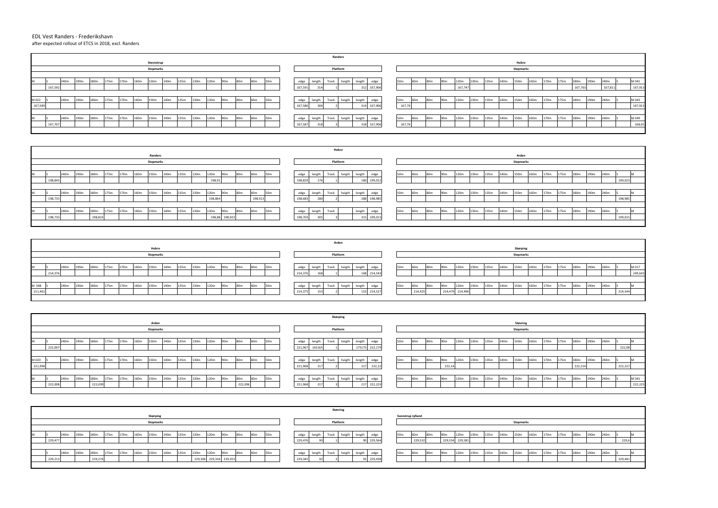## EDL Vest Randers - Frederikshavn after expected rollout of ETCS in 2018, excl. Randers

|         |        |      |                  |      |      |                  |      |                  |      |      |      |      |                 |     |                 |                 |         |        |       | Arden    |        |             |     |                 |                 |                 |                 |      |      |      |                  |      |      |      |      |                  |      |         |         |
|---------|--------|------|------------------|------|------|------------------|------|------------------|------|------|------|------|-----------------|-----|-----------------|-----------------|---------|--------|-------|----------|--------|-------------|-----|-----------------|-----------------|-----------------|-----------------|------|------|------|------------------|------|------|------|------|------------------|------|---------|---------|
|         |        |      |                  |      |      |                  |      | Hobro            |      |      |      |      |                 |     |                 |                 |         |        |       |          |        |             |     |                 |                 |                 |                 |      |      |      | Skørping         |      |      |      |      |                  |      |         |         |
|         |        |      |                  |      |      |                  |      | <b>Stopmarks</b> |      |      |      |      |                 |     |                 |                 |         |        |       | Platform |        |             |     |                 |                 |                 |                 |      |      |      | <b>Stopmarks</b> |      |      |      |      |                  |      |         |         |
|         |        |      |                  |      |      |                  |      |                  |      |      |      |      |                 |     |                 |                 |         |        |       |          |        |             |     |                 |                 |                 |                 |      |      |      |                  |      |      |      |      |                  |      |         |         |
|         |        | 240m | 190 <sub>m</sub> | 180m | 175m | 170 <sub>m</sub> | 160m | 150m             | 140m | 135m | 130m | 120m | 90 <sub>m</sub> | 80m | 60m             | 50 <sub>m</sub> | edge    | length | Track | heigth   | length | edge        | 50m | 60 <sub>m</sub> | 80 <sub>m</sub> | 90 <sub>m</sub> | 120m            | 130m | 135m | 140m | 150m             | 160m | 170m | 175m | 180m | 190 <sub>m</sub> | 240m |         | M 017   |
|         | 214,37 |      |                  |      |      |                  |      |                  |      |      |      |      |                 |     |                 |                 | 214,376 | 1681   |       |          |        | 214,543     |     |                 |                 |                 |                 |      |      |      |                  |      |      |      |      |                  |      |         | 249,643 |
|         |        |      |                  |      |      |                  |      |                  |      |      |      |      |                 |     |                 |                 |         |        |       |          |        |             |     |                 |                 |                 |                 |      |      |      |                  |      |      |      |      |                  |      |         |         |
| M 048   |        | 240m | 190 <sub>m</sub> | 180m | 175m | 170m             | 160m | 150m             | 140m | 135m | 130m | 120m | 90 <sub>m</sub> | 80m | 60 <sub>m</sub> | 50 <sub>m</sub> | edge    | length | Track | heigth   | length | edge        | 50m | 60m             | 80 <sub>m</sub> | 90 <sub>m</sub> | 120m            | 130m | 135m | 140m | 150m             | 160m | 170m | 175m | 180m | 190 <sub>m</sub> | 240m |         |         |
| 211,401 |        |      |                  |      |      |                  |      |                  |      |      |      |      |                 |     |                 |                 | 214,375 |        |       |          |        | 153 214,527 |     | 214,425         |                 |                 | 214,479 214,496 |      |      |      |                  |      |      |      |      |                  |      | 214,544 |         |
|         |        |      |                  |      |      |                  |      |                  |      |      |      |      |                 |     |                 |                 |         |        |       |          |        |             |     |                 |                 |                 |                 |      |      |      |                  |      |      |      |      |                  |      |         |         |

|         |      |                  |         |      |                  |      |                  |      |      |      |      |                 |         |                 |                 |         |                | Skørping     |        |            |         |                 |                 |                 |                 |      |      |      |      |                  |      |      |      |         |                  |      |         |         |
|---------|------|------------------|---------|------|------------------|------|------------------|------|------|------|------|-----------------|---------|-----------------|-----------------|---------|----------------|--------------|--------|------------|---------|-----------------|-----------------|-----------------|-----------------|------|------|------|------|------------------|------|------|------|---------|------------------|------|---------|---------|
|         |      |                  |         |      |                  |      | Arden            |      |      |      |      |                 |         |                 |                 |         |                |              |        |            |         |                 |                 |                 |                 |      |      |      |      | Støvring         |      |      |      |         |                  |      |         |         |
|         |      |                  |         |      |                  |      | <b>Stopmarks</b> |      |      |      |      |                 |         |                 |                 |         |                | Platform     |        |            |         |                 |                 |                 |                 |      |      |      |      | <b>Stopmarks</b> |      |      |      |         |                  |      |         |         |
|         |      |                  |         |      |                  |      |                  |      |      |      |      |                 |         |                 |                 |         |                |              |        |            |         |                 |                 |                 |                 |      |      |      |      |                  |      |      |      |         |                  |      |         |         |
| IVI.    | 240m | 190m             | 180m    | 175m | 170m             | 160m | 150m             | 140m | 135m | 130m | 120m | 90 <sub>m</sub> | 80m     | 60 <sub>m</sub> | 50 <sub>m</sub> | edge    | length         | Track        | heigth | length     | edge    | 50 <sub>m</sub> | 60 <sub>m</sub> | 80 <sub>m</sub> | 90 <sub>m</sub> | 120m | 130m | 135m | 140m | 150m             | 160m | 170m | 175m | 180m    | 190 <sub>m</sub> | 240m |         |         |
| 222,007 |      |                  |         |      |                  |      |                  |      |      |      |      |                 |         |                 |                 |         | 221,967 165165 |              |        | 175175     | 222,179 |                 |                 |                 |                 |      |      |      |      |                  |      |      |      |         |                  |      | 222,08  |         |
|         |      |                  |         |      |                  |      |                  |      |      |      |      |                 |         |                 |                 |         |                |              |        |            |         |                 |                 |                 |                 |      |      |      |      |                  |      |      |      |         |                  |      |         |         |
| M 020   | 240m | 190 <sub>m</sub> | 180m    | 175m | 170 <sub>m</sub> | 160m | 150m             | 140m | 135m | 130m | 120m | 90 <sub>m</sub> | 80m     | 60 <sub>m</sub> | 50 <sub>m</sub> | edge    | length         | Track        | heigth | length     | edge    | 50 <sub>m</sub> | 60m             | 80m             | 90 <sub>m</sub> | 120m | 130m | 135m | 140m | 150m             | 160m | 170m | 175m | 180m    | 190m             | 240m |         |         |
| 221,998 |      |                  |         |      |                  |      |                  |      |      |      |      |                 |         |                 |                 | 221,968 |                |              |        | 217        | 222,22  |                 |                 |                 | 222,1           |      |      |      |      |                  |      |      |      | 222,214 |                  |      | 222,227 |         |
|         |      |                  |         |      |                  |      |                  |      |      |      |      |                 |         |                 |                 |         |                |              |        |            |         |                 |                 |                 |                 |      |      |      |      |                  |      |      |      |         |                  |      |         |         |
|         | 240m | 190m             | 180m    | 175m | 170m             | 160m | 150m             | 140m | 135m | 130m | 120m | 90 <sub>m</sub> | 80m     | 60 <sub>m</sub> | 50 <sub>m</sub> | edge    | length         | Track heigth |        | length     | edge    | 50m             |                 | 80m             | 90m             | 120m | 130m | 135m | 140m | 150m             | 160m | 170m | 175m | 180m    | 190m             | 240m |         | M 041   |
| 222,008 |      |                  | 222,039 |      |                  |      |                  |      |      |      |      |                 | 222,096 |                 |                 | 221,968 |                |              |        | 247<br>211 | 222,223 |                 |                 |                 |                 |      |      |      |      |                  |      |      |      |         |                  |      |         | 222,225 |
|         |      |                  |         |      |                  |      |                  |      |      |      |      |                 |         |                 |                 |         |                |              |        |            |         |                 |                 |                 |                 |      |      |      |      |                  |      |      |      |         |                  |      |         |         |

|   |         |      |                  |         |      |      |      |                  |      |      |      |         |                 |                 |                 |                 |         |        | Hobro |          |        |             |                 |     |                 |                 |      |      |      |                  |                  |      |      |      |      |                  |      |         |  |
|---|---------|------|------------------|---------|------|------|------|------------------|------|------|------|---------|-----------------|-----------------|-----------------|-----------------|---------|--------|-------|----------|--------|-------------|-----------------|-----|-----------------|-----------------|------|------|------|------------------|------------------|------|------|------|------|------------------|------|---------|--|
|   |         |      |                  |         |      |      |      | <b>Randers</b>   |      |      |      |         |                 |                 |                 |                 |         |        |       |          |        |             |                 |     |                 |                 |      |      |      |                  | Arden            |      |      |      |      |                  |      |         |  |
|   |         |      |                  |         |      |      |      | <b>Stopmarks</b> |      |      |      |         |                 |                 |                 |                 |         |        |       | Platform |        |             |                 |     |                 |                 |      |      |      |                  | <b>Stopmarks</b> |      |      |      |      |                  |      |         |  |
|   |         |      |                  |         |      |      |      |                  |      |      |      |         |                 |                 |                 |                 |         |        |       |          |        |             |                 |     |                 |                 |      |      |      |                  |                  |      |      |      |      |                  |      |         |  |
| M |         | 240m | 190 <sub>m</sub> | 180m    | 175m | 170m | 160m | 150m             | 140m | 135m | 130m | 120m    | 90 <sub>m</sub> | 80m             | 60 <sub>m</sub> | 50 <sub>m</sub> | edge    | length | Track | heigth   | length | edge        | 50 <sub>m</sub> | 60m | 80 <sub>m</sub> | 90 <sub>m</sub> | 120m | 130m | 135m | 140 <sub>m</sub> | 150m             | 160m | 170m | 175m | 180m | 190 <sub>m</sub> | 240m |         |  |
|   | 198,843 |      |                  |         |      |      |      |                  |      |      |      | 198,91  |                 |                 |                 |                 | 198,829 | 176    |       |          | 180    | 199,012     |                 |     |                 |                 |      |      |      |                  |                  |      |      |      |      |                  |      | 199,023 |  |
|   |         |      |                  |         |      |      |      |                  |      |      |      |         |                 |                 |                 |                 |         |        |       |          |        |             |                 |     |                 |                 |      |      |      |                  |                  |      |      |      |      |                  |      |         |  |
| M |         | 240m | 190 <sub>m</sub> | 180m    | 175m | 170m | 160m | 150m             | 140m | 135m | 130m | 120m    | 90m             | 80 <sub>m</sub> | 60m             | 50 <sub>m</sub> | edge    | length | Track | heigth   | length | edge        | 50 <sub>m</sub> | 60m | 80 <sub>m</sub> | 90 <sub>m</sub> | 120m | 130m | 135m | 140m             | 150m             | 160m | 170m | 175m | 180m | 190m             | 240m |         |  |
|   | 198,733 |      |                  |         |      |      |      |                  |      |      |      | 198,864 |                 |                 | 198,913         |                 | 198,683 | 280    |       |          |        | 288 198,985 |                 |     |                 |                 |      |      |      |                  |                  |      |      |      |      |                  |      | 198,985 |  |
|   |         |      |                  |         |      |      |      |                  |      |      |      |         |                 |                 |                 |                 |         |        |       |          |        |             |                 |     |                 |                 |      |      |      |                  |                  |      |      |      |      |                  |      |         |  |
| M |         | 240m | 190m             | 180m    | 175m | 170m | 160m | 150m             | 140m | 135m | 130m | 120m    | 90 <sub>m</sub> | 80m             | 60 <sub>m</sub> | 50 <sub>m</sub> | edge    | length | Track |          | length | edge        | 50 <sub>m</sub> | 60m | 80 <sub>m</sub> | 90 <sub>m</sub> | 120m | 130m | 135m | 140m             | 150m             | 160m | 170m | 175m | 180m | 190 <sub>m</sub> | 240m |         |  |
|   | 198,73  |      |                  | 198,823 |      |      |      |                  |      |      |      |         | 198,88 198,923  |                 |                 |                 | 198,703 | 305    |       |          |        | 199,01      |                 |     |                 |                 |      |      |      |                  |                  |      |      |      |      |                  |      | 199,015 |  |
|   |         |      |                  |         |      |      |      |                  |      |      |      |         |                 |                 |                 |                 |         |        |       |          |        |             |                 |     |                 |                 |      |      |      |                  |                  |      |      |      |      |                  |      |         |  |

|                                                                                                                                                                  | <b>Randers</b>                                      |                                                                                                                                                                                                   |
|------------------------------------------------------------------------------------------------------------------------------------------------------------------|-----------------------------------------------------|---------------------------------------------------------------------------------------------------------------------------------------------------------------------------------------------------|
| Stevnstrup                                                                                                                                                       |                                                     | Hobro                                                                                                                                                                                             |
| <b>Stopmarks</b>                                                                                                                                                 | Platform                                            | <b>Stopmarks</b>                                                                                                                                                                                  |
|                                                                                                                                                                  |                                                     |                                                                                                                                                                                                   |
| 175m<br>135m<br>60 <sub>m</sub><br>240m<br>170m<br>140m<br>130m<br>120m<br>190m<br>180m<br>80m<br>50 <sub>m</sub><br>160m<br>150m<br>90 <sub>m</sub>             | length<br>heigth<br>edge<br>length<br>Track<br>edge | M 041<br>50 <sub>m</sub><br>150m<br>160m<br>190 <sub>m</sub><br>130m<br>120m<br>180 <sub>m</sub><br>240m<br>90 <sub>m</sub><br>170m<br>80 <sub>m</sub><br>135m<br>140m<br>60m<br>175m             |
| 167,592                                                                                                                                                          | 167,591<br>167,906                                  | 167,913<br>167,811<br>167,747<br>167,763                                                                                                                                                          |
|                                                                                                                                                                  |                                                     |                                                                                                                                                                                                   |
| M 022<br>135m<br>240m<br>180m<br>175m<br>170m<br>130m<br>60 <sub>m</sub><br>190m<br>140m<br>120m<br>80m<br>160m<br>150m<br>90 <sub>m</sub><br>50 <sub>m</sub>    | heigth<br>length<br>Track<br>edge<br>length<br>edge | M 043<br>190 <sub>m</sub><br>150m<br>160m<br>175m<br>180m<br>130m<br>135m<br>140m<br>170m<br>50m<br>90 <sub>m</sub><br>120m<br>240m<br>80 <sub>m</sub><br>60 <sub>m</sub>                         |
| 167,58                                                                                                                                                           | 167,586<br>304<br>167,906<br>314                    | 167,76<br>167,913                                                                                                                                                                                 |
|                                                                                                                                                                  |                                                     |                                                                                                                                                                                                   |
| 175m<br>135m<br>180m<br>130m<br>60 <sub>m</sub><br>240m<br>190m<br>170m<br>140 <sub>m</sub><br>120m<br>160m<br>80m<br>50 <sub>m</sub><br>150m<br>90 <sub>m</sub> | heigth<br>length<br>Track<br>length<br>edge<br>edge | M 049<br>160m<br>190 <sub>m</sub><br>50 <sub>m</sub><br>150m<br>180m<br>130m<br>90 <sub>m</sub><br>120 <sub>m</sub><br>135m<br>140m<br>170 <sub>m</sub><br>175m<br>240m<br>80m<br>60 <sub>m</sub> |
| 167,707                                                                                                                                                          | 167,587<br>167,906<br>318<br>$\sim$ $\sim$          | 167,76<br>168,0                                                                                                                                                                                   |
|                                                                                                                                                                  |                                                     |                                                                                                                                                                                                   |

|         |      |                  |                  |      |      |      |                  |                  |      |      |                         |                 |                 |                 |                 |         |        |       | Støvring     |        |            |                 |                          |                 |                 |                  |                  |      |      |                  |                  |      |      |      |                  |      |         |  |
|---------|------|------------------|------------------|------|------|------|------------------|------------------|------|------|-------------------------|-----------------|-----------------|-----------------|-----------------|---------|--------|-------|--------------|--------|------------|-----------------|--------------------------|-----------------|-----------------|------------------|------------------|------|------|------------------|------------------|------|------|------|------------------|------|---------|--|
|         |      |                  |                  |      |      |      | Skørping         |                  |      |      |                         |                 |                 |                 |                 |         |        |       |              |        |            |                 | <b>Svenstrup Jylland</b> |                 |                 |                  |                  |      |      |                  |                  |      |      |      |                  |      |         |  |
|         |      |                  |                  |      |      |      | <b>Stopmarks</b> |                  |      |      |                         |                 |                 |                 |                 |         |        |       | Platform     |        |            |                 |                          |                 |                 |                  |                  |      |      | <b>Stopmarks</b> |                  |      |      |      |                  |      |         |  |
|         |      |                  |                  |      |      |      |                  |                  |      |      |                         |                 |                 |                 |                 |         |        |       |              |        |            |                 |                          |                 |                 |                  |                  |      |      |                  |                  |      |      |      |                  |      |         |  |
|         | 240m | 190 <sub>m</sub> | 180 <sub>m</sub> | 175m | 170m | 160m | 150m             | 140 <sub>m</sub> | 135m | 130m | 120m                    | 90 <sub>m</sub> | 80 <sub>m</sub> | 60 <sub>m</sub> | 50 <sub>m</sub> | edge    | length | Track | heigth       | length | edge       | 50 <sub>m</sub> | 60m                      | 80 <sub>m</sub> | 90 <sub>m</sub> | 120m             | 130m             | 135m | 140m | 150m             | 160m             | 170m | 175m | 180m | 190m             | 240m |         |  |
| 229,477 |      |                  |                  |      |      |      |                  |                  |      |      |                         |                 |                 |                 |                 | 229,476 |        |       |              |        | 90 229,564 |                 |                          | 229,532         |                 | 229,554 229,581  |                  |      |      |                  |                  |      |      |      |                  |      | 229,6   |  |
|         |      |                  |                  |      |      |      |                  |                  |      |      |                         |                 |                 |                 |                 |         |        |       |              |        |            |                 |                          |                 |                 |                  |                  |      |      |                  |                  |      |      |      |                  |      |         |  |
|         | 240m | 190m             | 180m             | 175m | 170m | 160m | 150m             | 140 <sub>m</sub> | 135m | 130m | 120m                    | 90 <sub>m</sub> | 80 <sub>m</sub> | 60 <sub>m</sub> | 50 <sub>m</sub> | edge    | length |       | Track heigth | length | edge       | 50m             | 60m                      | 80m             | 90 <sub>m</sub> | 120 <sub>m</sub> | 130 <sub>m</sub> | 135m | 140m | 150m             | 160 <sub>m</sub> | 170m | 175m | 180m | 190 <sub>m</sub> | 240m |         |  |
| 229,213 |      |                  | 229,274          |      |      |      |                  |                  |      |      | 229,306 229,334 229,353 |                 |                 |                 |                 | 229,345 |        |       |              |        | 92 229,438 |                 |                          |                 |                 |                  |                  |      |      |                  |                  |      |      |      |                  |      | 229,441 |  |
|         |      |                  |                  |      |      |      |                  |                  |      |      |                         |                 |                 |                 |                 |         |        |       |              |        |            |                 |                          |                 |                 |                  |                  |      |      |                  |                  |      |      |      |                  |      |         |  |

| 170m | 175m | 180m    | 190 <sub>m</sub> | 240m    | S | M 041   |
|------|------|---------|------------------|---------|---|---------|
|      |      | 167,763 |                  | 167,811 |   | 167,913 |
|      |      |         |                  |         |   |         |
| 170m | 175m | 180m    | 190 <sub>m</sub> | 240m    | Ś | M 043   |
|      |      |         |                  |         |   | 167,913 |
|      |      |         |                  |         |   |         |
| 170m | 175m | 180m    | 190m             | 240m    | S | M 049   |
|      |      |         |                  |         |   | 168,05  |
|      |      |         |                  |         |   |         |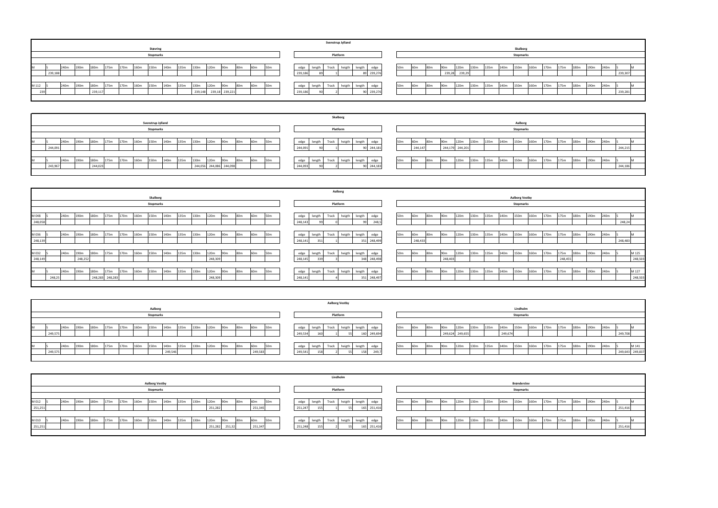|                                                                                                                                                                           | Lindholm                                            |                                                                                                                                                                              |
|---------------------------------------------------------------------------------------------------------------------------------------------------------------------------|-----------------------------------------------------|------------------------------------------------------------------------------------------------------------------------------------------------------------------------------|
| <b>Aalborg Vestby</b>                                                                                                                                                     |                                                     | Brønderslev                                                                                                                                                                  |
| <b>Stopmarks</b>                                                                                                                                                          | Platform                                            | <b>Stopmarks</b>                                                                                                                                                             |
|                                                                                                                                                                           |                                                     |                                                                                                                                                                              |
| 190m<br>180m<br>170m<br>120m<br>175m<br>160m<br>150m<br>135m<br>130m<br>M 012<br>240m<br>60 <sub>m</sub><br>140 <sub>m</sub><br>80m<br>50 <sub>m</sub><br>90 <sub>m</sub> | Track<br>length<br>edge<br>heigth<br>edge<br>length | 150m<br>160m<br>170m<br>50m<br>120m<br>130m<br>190m<br>90 <sub>m</sub><br>140m<br>175m<br>240m<br>180m<br>135m<br>60m<br>80m                                                 |
| 251,251<br>251,345<br>251,282                                                                                                                                             | 251,416<br>251,247<br>165                           | 251,416                                                                                                                                                                      |
|                                                                                                                                                                           |                                                     |                                                                                                                                                                              |
| 190m<br>175m<br>120m<br>180m<br>170m<br>160m<br>150m<br>M 010<br>240m<br>135m<br>130m<br>140m<br>80 <sub>m</sub><br>60 <sub>m</sub><br>50 <sub>m</sub><br>90 <sub>m</sub> | Track<br>length<br>edge<br>edge<br>heigth<br>length | 150m<br>160m<br>170m<br>.30m<br>140m<br>175m<br>190m<br>240m<br>50 <sub>m</sub><br>120m<br>180 <sub>m</sub><br>90 <sub>m</sub><br>135m<br>80 <sub>m</sub><br>60 <sub>m</sub> |
| 251,251<br>251,32<br>251,347<br>251,282                                                                                                                                   | 251,248<br>251,416                                  | 251,416                                                                                                                                                                      |
|                                                                                                                                                                           |                                                     |                                                                                                                                                                              |

| 170m | 175m | 180m | 190m | 240m | S       | M |
|------|------|------|------|------|---------|---|
|      |      |      |      |      | 239,307 |   |
|      |      |      |      |      |         |   |
| 170m | 175m | 180m | 190m | 240m | S       | M |
|      |      |      |      |      | 239,281 |   |
|      |      |      |      |      |         |   |

| 170m | 175m | 180m | 190m | 240m | S       | M |
|------|------|------|------|------|---------|---|
|      |      |      |      |      | 244,215 |   |
|      |      |      |      |      |         |   |
| 170m | 175m | 180m | 190m | 240m | S       | M |
|      |      |      |      |      | 244,186 |   |
|      |      |      |      |      |         |   |

| 170m | 175m    | 180m | 190m | 240m | S       | M       |
|------|---------|------|------|------|---------|---------|
|      |         |      |      |      | 248,24  |         |
|      |         |      |      |      |         |         |
| 170m | 175m    | 180m | 190m | 240m | S       | M       |
|      |         |      |      |      | 248,483 |         |
|      |         |      |      |      |         |         |
| 170m | 175m    | 180m | 190m | 240m | S       | M 125   |
|      | 248,455 |      |      |      |         | 248,503 |
|      |         |      |      |      |         |         |
| 170m | 175m    | 180m | 190m | 240m | S       | M 127   |
|      |         |      |      |      |         | 248,503 |
|      |         |      |      |      |         |         |

|        |      |      |      |      |      |      |                  |                  |      |      |      |                 |     |                 |                 |         |        |       | <b>Aalborg Vestby</b> |        |             |                 |                 |                 |                 |                  |      |      |         |                  |      |      |      |                  |      |                  |                 |
|--------|------|------|------|------|------|------|------------------|------------------|------|------|------|-----------------|-----|-----------------|-----------------|---------|--------|-------|-----------------------|--------|-------------|-----------------|-----------------|-----------------|-----------------|------------------|------|------|---------|------------------|------|------|------|------------------|------|------------------|-----------------|
|        |      |      |      |      |      |      | Aalborg          |                  |      |      |      |                 |     |                 |                 |         |        |       |                       |        |             |                 |                 |                 |                 |                  |      |      |         | Lindholm         |      |      |      |                  |      |                  |                 |
|        |      |      |      |      |      |      | <b>Stopmarks</b> |                  |      |      |      |                 |     |                 |                 |         |        |       | Platform              |        |             |                 |                 |                 |                 |                  |      |      |         | <b>Stopmarks</b> |      |      |      |                  |      |                  |                 |
|        |      |      |      |      |      |      |                  |                  |      |      |      |                 |     |                 |                 |         |        |       |                       |        |             |                 |                 |                 |                 |                  |      |      |         |                  |      |      |      |                  |      |                  |                 |
|        | 240m | 190m | 180m | 175m | 170m | 160m | 150m             | 140m             | 135m | 130m | 120m | 90 <sub>m</sub> | 80m | 60 <sub>m</sub> | 50 <sub>m</sub> | edge    | length | Track | heigth                | length | edge        | 50 <sub>m</sub> | 60 <sub>m</sub> | 80 <sub>m</sub> | 90 <sub>m</sub> | 120 <sub>m</sub> | 130m | 135m | 140m    | 150 <sub>m</sub> | 160m | 170m | 175m | 180 <sub>m</sub> | 190m | 240 <sub>m</sub> |                 |
| 249,57 |      |      |      |      |      |      |                  |                  |      |      |      |                 |     |                 |                 | 249,534 |        |       |                       |        | 160 249,694 |                 |                 |                 |                 | 249,624 249,655  |      |      | 249,674 |                  |      |      |      |                  |      |                  | 249,708         |
|        |      |      |      |      |      |      |                  |                  |      |      |      |                 |     |                 |                 |         |        |       |                       |        |             |                 |                 |                 |                 |                  |      |      |         |                  |      |      |      |                  |      |                  |                 |
|        | 240m | 90m  | 180m | 175m | 170m | 160m | 150m             | 140 <sub>m</sub> | 135m | 130m | 120m | 90 <sub>m</sub> | 80m | 60 <sub>m</sub> | 50 <sub>m</sub> | edge    | length | Track | heigth                | length | edge        | 50 <sub>m</sub> | 60 <sub>m</sub> | 80m             | 90 <sub>m</sub> | 120 <sub>m</sub> | 130m | 135m | 140m    | 150m             | 160m | .70m | 175m | 180m             | 190m | 240 <sub>m</sub> | M 141           |
| 249,57 |      |      |      |      |      |      |                  | 249,546          |      |      |      |                 |     | 249,583         |                 | 249,54  |        |       |                       | 158    | 249,7       |                 |                 |                 |                 |                  |      |      |         |                  |      |      |      |                  |      |                  | 249,643 249,837 |
|        |      |      |      |      |      |      |                  |                  |      |      |      |                 |     |                 |                 |         |        |       |                       |        |             |                 |                 |                 |                 |                  |      |      |         |                  |      |      |      |                  |      |                  |                 |

|       |        |      |      |         |      |      |                  |                  |      |      |         |      |                 |     |                 |                 |         |        | Svenstrup Jylland   |  |         |                 |                 |                 |                 |        |      |      |      |                  |      |      |      |      |                  |      |         |  |
|-------|--------|------|------|---------|------|------|------------------|------------------|------|------|---------|------|-----------------|-----|-----------------|-----------------|---------|--------|---------------------|--|---------|-----------------|-----------------|-----------------|-----------------|--------|------|------|------|------------------|------|------|------|------|------------------|------|---------|--|
|       |        |      |      |         |      |      |                  | Støvring         |      |      |         |      |                 |     |                 |                 |         |        |                     |  |         |                 |                 |                 |                 |        |      |      |      | Skalborg         |      |      |      |      |                  |      |         |  |
|       |        |      |      |         |      |      |                  | <b>Stopmarks</b> |      |      |         |      |                 |     |                 |                 |         |        | Platform            |  |         |                 |                 |                 |                 |        |      |      |      | <b>Stopmarks</b> |      |      |      |      |                  |      |         |  |
|       |        |      |      |         |      |      |                  |                  |      |      |         |      |                 |     |                 |                 |         |        |                     |  |         |                 |                 |                 |                 |        |      |      |      |                  |      |      |      |      |                  |      |         |  |
| IIVI. |        | 240m | 190m | 180m    | 175m | 170m | 160 <sub>m</sub> | 150m             | 140m | 135m | 130m    | 120m | 90m             | 80m | 60 <sub>m</sub> | 50 <sub>m</sub> | edge    | length | Track heigth length |  | edge    | 50m             | 60 <sub>m</sub> | 80 <sub>m</sub> | 90 <sub>m</sub> | 120m   | 130m | 135m | 140m | 150m             | 160m | 170m | 175m | 180m | 190 <sub>m</sub> | 240m |         |  |
|       | 239,18 |      |      |         |      |      |                  |                  |      |      |         |      |                 |     |                 |                 | 239,186 |        |                     |  | 239,276 |                 |                 |                 | 239,28          | 239,29 |      |      |      |                  |      |      |      |      |                  |      | 239,307 |  |
|       |        |      |      |         |      |      |                  |                  |      |      |         |      |                 |     |                 |                 |         |        |                     |  |         |                 |                 |                 |                 |        |      |      |      |                  |      |      |      |      |                  |      |         |  |
| M 112 |        | 240m | 190m | 180m    | 175m | 170m | 160m             | 150m             | 140m | 135m | 130m    | 120m | 90 <sub>m</sub> | 80m | 60m             | 50 <sub>m</sub> | edge    | length | Track heigth length |  | edge    | 50 <sub>m</sub> | 60m             | 80m             | 90m             | 120m   | 130m | 135m | 140m | 150m             | 160m | 170m | 175m | 180m | 190m             | 240m |         |  |
| 222   |        |      |      | 239,117 |      |      |                  |                  |      |      | 239,148 |      | 239,18 239,221  |     |                 |                 | 239,186 |        |                     |  | 239,276 |                 |                 |                 |                 |        |      |      |      |                  |      |      |      |      |                  |      | 239,281 |  |
|       |        |      |      |         |      |      |                  |                  |      |      |         |      |                 |     |                 |                 |         |        |                     |  |         |                 |                 |                 |                 |        |      |      |      |                  |      |      |      |      |                  |      |         |  |
|       |        |      |      |         |      |      |                  |                  |      |      |         |      |                 |     |                 |                 |         |        |                     |  |         |                 |                 |                 |                 |        |      |      |      |                  |      |      |      |      |                  |      |         |  |

|   |         |      |                  |         |      |      |                  |                   |      |      |         |      |                 |     |                 |                 |         |        | Skalborg     |        |            |                 |                 |     |                 |                 |      |      |      |                  |      |      |      |      |                  |      |         |  |
|---|---------|------|------------------|---------|------|------|------------------|-------------------|------|------|---------|------|-----------------|-----|-----------------|-----------------|---------|--------|--------------|--------|------------|-----------------|-----------------|-----|-----------------|-----------------|------|------|------|------------------|------|------|------|------|------------------|------|---------|--|
|   |         |      |                  |         |      |      |                  | Svenstrup Jylland |      |      |         |      |                 |     |                 |                 |         |        |              |        |            |                 |                 |     |                 |                 |      |      |      | Aalborg          |      |      |      |      |                  |      |         |  |
|   |         |      |                  |         |      |      |                  | <b>Stopmarks</b>  |      |      |         |      |                 |     |                 |                 |         |        | Platform     |        |            |                 |                 |     |                 |                 |      |      |      | <b>Stopmarks</b> |      |      |      |      |                  |      |         |  |
|   |         |      |                  |         |      |      |                  |                   |      |      |         |      |                 |     |                 |                 |         |        |              |        |            |                 |                 |     |                 |                 |      |      |      |                  |      |      |      |      |                  |      |         |  |
| M |         | 240m | 190 <sub>m</sub> | 180m    | 175m | 170m | 160m             | 150m              | 140m | 135m | 130m    | 120m | Q/m             | 80m | 60 <sub>m</sub> | 50 <sub>m</sub> | edge    | length | Track heigth | length | edge       | 50 <sub>m</sub> | 60 <sub>m</sub> | 80m | 90 <sub>m</sub> | 120m            | 130m | 135m | 140m | 150m             | 160m | 170m | 175m | 180m | 190 <sub>m</sub> | 240m |         |  |
|   | 244,091 |      |                  |         |      |      |                  |                   |      |      |         |      |                 |     |                 |                 | 244,091 |        |              |        | 90 244,181 |                 | 244,147         |     |                 | 244,179 244,201 |      |      |      |                  |      |      |      |      |                  |      | 244,215 |  |
|   |         |      |                  |         |      |      |                  |                   |      |      |         |      |                 |     |                 |                 |         |        |              |        |            |                 |                 |     |                 |                 |      |      |      |                  |      |      |      |      |                  |      |         |  |
| M |         | 240m | 190m             | 180m    | 175m | 170m | 160 <sub>m</sub> | 150m              | 140m | 135m | 130m    | 120m | 90m             | 80m | 60m             | 50 <sub>m</sub> | edge    | length | Track heigth | length | edge       | 50 <sub>m</sub> | 60m             | 80m | 90m             | 120m            | 130m | 135m | 140m | 150m             | 160m | 170m | 175m | 180m | 190 <sub>m</sub> | 240m |         |  |
|   | 243,967 |      |                  | 244,023 |      |      |                  |                   |      |      | 244,056 |      | 244,086 244,098 |     |                 |                 | 244,093 |        |              |        | 90 244,183 |                 |                 |     |                 |                 |      |      |      |                  |      |      |      |      |                  |      | 244,186 |  |
|   |         |      |                  |         |      |      |                  |                   |      |      |         |      |                 |     |                 |                 |         |        |              |        |            |                 |                 |     |                 |                 |      |      |      |                  |      |      |      |      |                  |      |         |  |

|       |         |        |      |                  |      |                 |      |      |                  |                  |      |      |         |                 |                 |                 |                 |         |        |       | Aalborg  |        |         |                 |                 |                 |                 |      |      |      |      |                       |      |      |         |      |      |      |         |         |
|-------|---------|--------|------|------------------|------|-----------------|------|------|------------------|------------------|------|------|---------|-----------------|-----------------|-----------------|-----------------|---------|--------|-------|----------|--------|---------|-----------------|-----------------|-----------------|-----------------|------|------|------|------|-----------------------|------|------|---------|------|------|------|---------|---------|
|       |         |        |      |                  |      |                 |      |      | <b>Skalborg</b>  |                  |      |      |         |                 |                 |                 |                 |         |        |       |          |        |         |                 |                 |                 |                 |      |      |      |      | <b>Aalborg Vestby</b> |      |      |         |      |      |      |         |         |
|       |         |        |      |                  |      |                 |      |      | <b>Stopmarks</b> |                  |      |      |         |                 |                 |                 |                 |         |        |       | Platform |        |         |                 |                 |                 |                 |      |      |      |      | <b>Stopmarks</b>      |      |      |         |      |      |      |         |         |
|       |         |        |      |                  |      |                 |      |      |                  |                  |      |      |         |                 |                 |                 |                 |         |        |       |          |        |         |                 |                 |                 |                 |      |      |      |      |                       |      |      |         |      |      |      |         |         |
| M 048 |         |        | 240m | 190 <sub>m</sub> | 180m | 175m            | 70m  | 160m | 150m             | 140 <sub>m</sub> | .35m | 130m | 120m    | 90m             | 80m             | 60 <sub>m</sub> | 50 <sub>m</sub> | edge    | length | Track | heigth   | length | edge    | 50m             | 60m             | 80m             | 90m             | 120m | 130m | 135m | 140m | 150m                  | 160m | 170m | 175m    | 180m | 190m | 240m |         |         |
|       | 248,058 |        |      |                  |      |                 |      |      |                  |                  |      |      |         |                 |                 |                 |                 | 248,14  |        |       |          |        | 248,5   |                 |                 |                 |                 |      |      |      |      |                       |      |      |         |      |      |      | 248,24  |         |
|       |         |        |      |                  |      |                 |      |      |                  |                  |      |      |         |                 |                 |                 |                 |         |        |       |          |        |         |                 |                 |                 |                 |      |      |      |      |                       |      |      |         |      |      |      |         |         |
| M 036 |         |        | 240m | 190 <sub>m</sub> | 180m | 175m            | 170m | 160m | 150m             | 140m             | 135m | 130m | 120m    | 90m             | 80 <sub>m</sub> | 60 <sub>m</sub> |                 | edge    | length | Track | heigth   | length | edge    | 50 <sub>m</sub> | 60m             | 80 <sub>m</sub> | 90m             | 120m | 130m | 135m | 140m | 150m                  | 160m | 170m | 175m    | 180m | 190m | 240m |         |         |
|       | 248,139 |        |      |                  |      |                 |      |      |                  |                  |      |      |         |                 |                 |                 |                 | 248,141 |        |       |          | 351    | 248,499 |                 | 248,43          |                 |                 |      |      |      |      |                       |      |      |         |      |      |      | 248,483 |         |
|       |         |        |      |                  |      |                 |      |      |                  |                  |      |      |         |                 |                 |                 |                 |         |        |       |          |        |         |                 |                 |                 |                 |      |      |      |      |                       |      |      |         |      |      |      |         |         |
| M 032 |         |        | 240m | 190 <sub>m</sub> | 180m | 175m            | 170m | 160m | 150m             | 140m             | 135m | 130m | 120m    | 90m             | 80m             | 60 <sub>m</sub> | 50 <sub>m</sub> | edge    | length | Track | heigth   | length | edge    | 50 <sub>m</sub> | 60 <sub>m</sub> | 80m             | 90 <sub>m</sub> | 120m | 130m | 135m | 140m | 150m                  | 160m | 170m | 175m    | 180m | 190m | 240m |         | M 125   |
|       | 248,149 |        |      | 248,252          |      |                 |      |      |                  |                  |      |      | 248,309 |                 |                 |                 |                 | 248,145 |        |       |          | 348    | 248,498 |                 |                 |                 | 248,403         |      |      |      |      |                       |      |      | 248,455 |      |      |      |         | 248,503 |
|       |         |        |      |                  |      |                 |      |      |                  |                  |      |      |         |                 |                 |                 |                 |         |        |       |          |        |         |                 |                 |                 |                 |      |      |      |      |                       |      |      |         |      |      |      |         |         |
|       |         |        | 240m | 190 <sub>m</sub> | 180m | 175m            | 170m | 160m | 150m             | 140m             | 135m | 130m | 120m    | 90 <sub>m</sub> | 80 <sub>m</sub> | 60 <sub>m</sub> | 50m             | edge    | length | Track | heigth   | length | edge    | 50 <sub>m</sub> | 60m             | 80 <sub>m</sub> | 90m             | 120m | 130m | 135m | 140m | 150m                  | 160m | 170m | 175m    | 180m | 190m | 240m |         | M 127   |
|       |         | 248,25 |      |                  |      | 248,283 248,283 |      |      |                  |                  |      |      | 248,309 |                 |                 |                 |                 | 248,141 |        |       |          | 351    | 248,497 |                 |                 |                 |                 |      |      |      |      |                       |      |      |         |      |      |      |         | 248,503 |
|       |         |        |      |                  |      |                 |      |      |                  |                  |      |      |         |                 |                 |                 |                 |         |        |       |          |        |         |                 |                 |                 |                 |      |      |      |      |                       |      |      |         |      |      |      |         |         |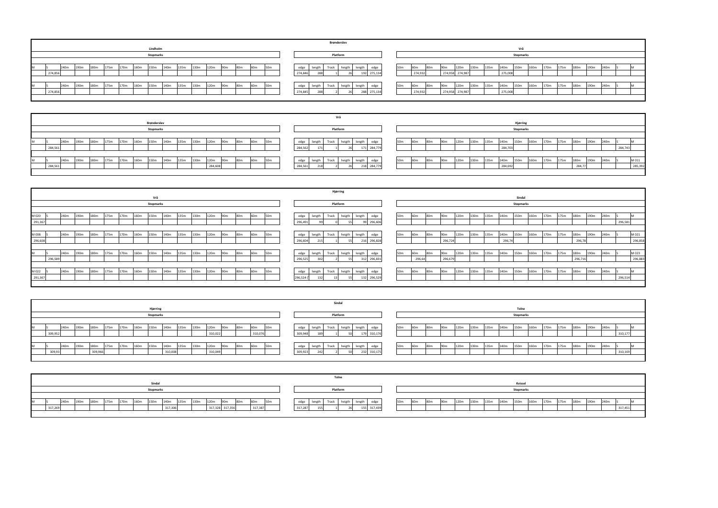|                                                                                                                                                                          | Brønderslev                                           |                                                                                                                                                                              |
|--------------------------------------------------------------------------------------------------------------------------------------------------------------------------|-------------------------------------------------------|------------------------------------------------------------------------------------------------------------------------------------------------------------------------------|
| Lindholm                                                                                                                                                                 |                                                       | Vrå                                                                                                                                                                          |
| <b>Stopmarks</b>                                                                                                                                                         | Platform                                              | <b>Stopmarks</b>                                                                                                                                                             |
|                                                                                                                                                                          |                                                       |                                                                                                                                                                              |
| 190 <sub>m</sub><br>160 <sub>m</sub><br>150m<br>130m<br>175m<br>170m<br>135m<br>120m<br>60m<br>240m<br>180m<br>140m<br>80m<br>50 <sub>m</sub><br>90 <sub>m</sub><br>IVI. | edge<br>edge<br>length<br>Track<br>heigth<br>length   | 190m<br>120m<br>50 <sub>m</sub><br>180m<br>130m<br>135m<br>150m<br>170m<br>175m<br>160m<br>240m<br>140 <sub>m</sub><br>80 <sub>m</sub><br>90 <sub>m</sub><br>60m             |
| 274,856                                                                                                                                                                  | 274,846<br>192 275,134                                | 274,958 274,987<br>274,932<br>275,008                                                                                                                                        |
|                                                                                                                                                                          |                                                       |                                                                                                                                                                              |
| 170m<br>190 <sub>m</sub><br>160m<br>150m<br>130m<br>140 <sub>m</sub><br>135m<br>120m<br>80m<br>60m<br>175m<br>240m<br>180m<br>90 <sub>m</sub><br>50 <sub>m</sub><br>IVI. | heigth<br>Track  <br>edge<br>length<br>edge<br>length | 120m<br>180m<br>190 <sub>m</sub><br>150m<br>160 <sub>m</sub><br>175m<br>50 <sub>m</sub><br>130m<br>135m<br>170m<br>140m<br>240m<br>80 <sub>m</sub><br>60m<br>90 <sub>m</sub> |
| 274,856                                                                                                                                                                  | 274,845<br>288 275,13                                 | 274,932<br>274,958 274,987<br>275,008                                                                                                                                        |
|                                                                                                                                                                          |                                                       |                                                                                                                                                                              |
|                                                                                                                                                                          |                                                       |                                                                                                                                                                              |

|                                                                                                                                                    |                        | Tolne                  |                                                                                                                                                                              |
|----------------------------------------------------------------------------------------------------------------------------------------------------|------------------------|------------------------|------------------------------------------------------------------------------------------------------------------------------------------------------------------------------|
| Sindal                                                                                                                                             |                        |                        | Kvissel                                                                                                                                                                      |
| <b>Stopmarks</b>                                                                                                                                   |                        | Platform               | <b>Stopmarks</b>                                                                                                                                                             |
|                                                                                                                                                    |                        |                        |                                                                                                                                                                              |
| 120 <sub>m</sub><br>150m<br>180m<br>130m<br>190m<br>175m<br>135m<br>160m<br>80 <sub>m</sub><br>170 <sub>m</sub><br>240m<br>140m<br>90 <sub>m</sub> | 50 <sub>m</sub><br>60m | edge<br>i rack         | 160m<br>135m<br>150m<br>190 <sub>m</sub><br>130m<br>170 <sub>m</sub><br>240m<br>50 <sub>m</sub><br>90m<br>120m<br>175m<br>140 <sub>m</sub><br>180m<br>60m<br>80 <sub>m</sub> |
| 317,328 317,356<br>317,306<br>317,26                                                                                                               | 317,387                | 317,287<br>155 317,439 | 317,451                                                                                                                                                                      |
|                                                                                                                                                    |                        |                        |                                                                                                                                                                              |

| 170m | 175m | 180m   | 190m | 240m | S       | M       |
|------|------|--------|------|------|---------|---------|
|      |      |        |      |      | 284,743 |         |
|      |      |        |      |      |         |         |
| 170m | 175m | 180m   | 190m | 240m | S       | M 011   |
|      |      | 284,77 |      |      |         | 285,392 |
|      |      |        |      |      |         |         |

| 170m | 175m | 180m    | 190m             | 240m | S       | M       |
|------|------|---------|------------------|------|---------|---------|
|      |      |         |                  |      | 296,581 |         |
|      |      |         |                  |      |         |         |
| 170m | 175m | 180m    | 190 <sub>m</sub> | 240m | S       | M 021   |
|      |      | 296,78  |                  |      |         | 296,858 |
|      |      |         |                  |      |         |         |
| 170m | 175m | 180m    | 190m             | 240m | S       | M 023   |
|      |      | 296,716 |                  |      |         | 296,883 |
|      |      |         |                  |      |         |         |
| 170m | 175m | 180m    | 190m             | 240m | S       | M       |
|      |      |         |                  |      | 296,514 |         |
|      |      |         |                  |      |         |         |

|  |         |      |                  |                  |      |      |      |                  |                  |      |      |         |                 |                 |                 |                 |         |             |       | Sindal   |        |             |                 |                 |                 |                 |                  |      |      |      |                  |      |      |      |      |                  |      |         |  |
|--|---------|------|------------------|------------------|------|------|------|------------------|------------------|------|------|---------|-----------------|-----------------|-----------------|-----------------|---------|-------------|-------|----------|--------|-------------|-----------------|-----------------|-----------------|-----------------|------------------|------|------|------|------------------|------|------|------|------|------------------|------|---------|--|
|  |         |      |                  |                  |      |      |      | Hjørring         |                  |      |      |         |                 |                 |                 |                 |         |             |       |          |        |             |                 |                 |                 |                 |                  |      |      |      | <b>Tolne</b>     |      |      |      |      |                  |      |         |  |
|  |         |      |                  |                  |      |      |      | <b>Stopmarks</b> |                  |      |      |         |                 |                 |                 |                 |         |             |       | Platform |        |             |                 |                 |                 |                 |                  |      |      |      | <b>Stopmarks</b> |      |      |      |      |                  |      |         |  |
|  |         |      |                  |                  |      |      |      |                  |                  |      |      |         |                 |                 |                 |                 |         |             |       |          |        |             |                 |                 |                 |                 |                  |      |      |      |                  |      |      |      |      |                  |      |         |  |
|  |         | 240m | 190m             | 180 <sub>m</sub> | 175m | 170m | 160m | 150m             | 140m             | 135m | 130m | 120m    | 90 <sub>m</sub> | 80m             | 60 <sub>m</sub> | 50 <sub>m</sub> | edge    | length      | Track | heigth   | length | edge        | 50m             | 60m             | 80 <sub>m</sub> | 90 <sub>m</sub> | 120m             | 130m | 135m | 140m | 150m             | 160m | 170m | 175m | 180m | 190m             | 240m |         |  |
|  | 309,952 |      |                  |                  |      |      |      |                  |                  |      |      | 310,022 |                 |                 | 310,076         |                 | 309,948 |             |       |          |        | 310,176     |                 |                 |                 |                 |                  |      |      |      |                  |      |      |      |      |                  |      | 310,177 |  |
|  |         |      |                  |                  |      |      |      |                  |                  |      |      |         |                 |                 |                 |                 |         |             |       |          |        |             |                 |                 |                 |                 |                  |      |      |      |                  |      |      |      |      |                  |      |         |  |
|  |         | 240m | 190 <sub>m</sub> | 180m             | 175m | 170m | 160m | 150m             | 140 <sub>m</sub> | 135m | 130m | 120m    | 90 <sub>m</sub> | 80 <sub>m</sub> | 60 <sub>m</sub> | 50 <sub>m</sub> |         | edge length | Track | heigth   | length | edge        | 50 <sub>m</sub> | 60 <sub>m</sub> | 80 <sub>m</sub> | 90 <sub>m</sub> | 120 <sub>m</sub> | 130m | 135m | 140m | 150m             | 160m | 170m | 175m | 180m | 190 <sub>m</sub> | 240m |         |  |
|  | 309,95  |      |                  | 309,966          |      |      |      |                  | 310,008          |      |      | 310,049 |                 |                 |                 |                 | 309,923 | 242         |       |          |        | 232 310,175 |                 |                 |                 |                 |                  |      |      |      |                  |      |      |      |      |                  |      | 310,169 |  |
|  |         |      |                  |                  |      |      |      |                  |                  |      |      |         |                 |                 |                 |                 |         |             |       |          |        |             |                 |                 |                 |                 |                  |      |      |      |                  |      |      |      |      |                  |      |         |  |

|         |      |      |      |      |      |      |                  |      |      |      |         |                 |     |                 |                 |         |        |       | Vrå      |        |             |     |                 |                 |                 |      |      |      |         |                  |      |      |      |        |                  |      |         |         |
|---------|------|------|------|------|------|------|------------------|------|------|------|---------|-----------------|-----|-----------------|-----------------|---------|--------|-------|----------|--------|-------------|-----|-----------------|-----------------|-----------------|------|------|------|---------|------------------|------|------|------|--------|------------------|------|---------|---------|
|         |      |      |      |      |      |      | Brønderslev      |      |      |      |         |                 |     |                 |                 |         |        |       |          |        |             |     |                 |                 |                 |      |      |      |         | Hjørring         |      |      |      |        |                  |      |         |         |
|         |      |      |      |      |      |      | <b>Stopmarks</b> |      |      |      |         |                 |     |                 |                 |         |        |       | Platform |        |             |     |                 |                 |                 |      |      |      |         | <b>Stopmarks</b> |      |      |      |        |                  |      |         |         |
|         |      |      |      |      |      |      |                  |      |      |      |         |                 |     |                 |                 |         |        |       |          |        |             |     |                 |                 |                 |      |      |      |         |                  |      |      |      |        |                  |      |         |         |
|         | 240m | 190m | 180m | 175m | 170m | 160m | 150m             | 140m | 135m | 130m | 120m    | 90 <sub>m</sub> | 80m | 60 <sub>m</sub> | 50 <sub>m</sub> | edge    | length | Track | heigth   | length |             | 50m | 60 <sub>m</sub> | 80 <sub>m</sub> | 90 <sub>m</sub> | 120m | 130m | 135m | 140m    | 150m             | 160m | 170m | 175m | 180m   | 190 <sub>m</sub> | 240m |         |         |
| 284,561 |      |      |      |      |      |      |                  |      |      |      |         |                 |     |                 |                 | 284,562 | 17     |       |          |        | 171 284,779 |     |                 |                 |                 |      |      |      | 284,703 |                  |      |      |      |        |                  |      | 284,743 |         |
|         |      |      |      |      |      |      |                  |      |      |      |         |                 |     |                 |                 |         |        |       |          |        |             |     |                 |                 |                 |      |      |      |         |                  |      |      |      |        |                  |      |         |         |
|         | 240m | 190m | 180m | 175m | 170m | 160m | 150m             | 140m | 135m | 130m | 120m    | 90 <sub>m</sub> | 80m | 60m             | 50m             | edge    | length | Track | heigth   | length |             | 50m | 60m             | 80 <sub>m</sub> | 90m             | 120m | 130m | 135m | 140m    | 150m             | 160m | 170m | 175m | 180m   | 190m             | 240m |         | M 011   |
| 284,56  |      |      |      |      |      |      |                  |      |      |      | 284,608 |                 |     |                 |                 | 284,561 | $\sim$ |       |          |        | 218 284,77  |     |                 |                 |                 |      |      |      | 284,692 |                  |      |      |      | 284,77 |                  |      |         | 285,392 |
|         |      |      |      |      |      |      |                  |      |      |      |         |                 |     |                 |                 |         |        |       |          |        |             |     |                 |                 |                 |      |      |      |         |                  |      |      |      |        |                  |      |         |         |

|                                                                                                                                                        | Hjørring                                                     |                                                                                                                                                                           |
|--------------------------------------------------------------------------------------------------------------------------------------------------------|--------------------------------------------------------------|---------------------------------------------------------------------------------------------------------------------------------------------------------------------------|
| Vrå                                                                                                                                                    |                                                              | Sindal                                                                                                                                                                    |
| <b>Stopmarks</b>                                                                                                                                       | Platform                                                     | <b>Stopmarks</b>                                                                                                                                                          |
|                                                                                                                                                        |                                                              |                                                                                                                                                                           |
| M 020<br>130m<br>240m<br>175m<br>170m<br>135m<br>120m<br>190m<br>180m<br>150m<br>80m<br>160m<br>140m<br>90 <sub>m</sub><br>160m                        | length Track<br>heigth<br>length<br>edge<br>edge             | 120m<br>50m<br>90 <sub>m</sub><br>130m<br>135m<br>180m<br>80m<br>140m<br>150m<br>160m<br>170m<br>175m<br>190 <sub>m</sub><br>60 <sub>m</sub><br>240m                      |
| 291,367                                                                                                                                                | 296,606<br>296,491                                           | 296,581                                                                                                                                                                   |
|                                                                                                                                                        |                                                              |                                                                                                                                                                           |
| M 008<br>130m<br>240m<br>190m<br>175m<br>135m<br>120m<br>180m<br>150m<br>170m<br>160m<br>140m<br>80 <sub>m</sub><br>60 <sub>m</sub><br>90 <sub>m</sub> | length Track<br>heigth<br>length<br>edge                     | M 021<br>120m<br>50m<br>90 <sub>m</sub><br>130m<br>135m<br>160m<br>180m<br>140m<br>150m<br>170 <sub>m</sub><br>190 <sub>m</sub><br>80 <sub>m</sub><br>240m<br>60m<br>175m |
| 296,608                                                                                                                                                | 296,604<br>216 296,828                                       | 296,858<br>296,74<br>296,724<br>296,78                                                                                                                                    |
|                                                                                                                                                        |                                                              |                                                                                                                                                                           |
| 175m<br>135m<br>130m<br>120m<br>180m<br>170m<br>190m<br>160m<br>150m<br>80m<br>240m<br>140m<br>60 <sub>m</sub><br>90 <sub>m</sub>                      | length Track<br>heigth<br>edge<br>length<br>edge             | M 023<br>120m<br>180m<br>130m<br>135m<br>190m<br>90 <sub>m</sub><br>140m<br>150m<br>160m<br>170m<br>50m<br>240m<br>60m<br>80m<br>175m                                     |
| 296,589                                                                                                                                                | 296,525<br>312 296,831<br>55                                 | 296,883<br>296,64<br>296,679<br>296,716                                                                                                                                   |
|                                                                                                                                                        |                                                              |                                                                                                                                                                           |
| 190m<br>180m<br>130m<br>120m<br>175m<br>135m<br>240m<br>170m<br>150m<br>80m<br>160m<br>60m<br>140m<br>M 022<br>90 <sub>m</sub>                         | Track<br>heigth<br>edge<br>length<br>length<br>edge          | 120m<br>190m<br>90 <sub>m</sub><br>130m<br>135m<br>160m<br>180m<br>140m<br>150m<br>170m<br>50m<br>175m<br>240m<br>60m<br>80 <sub>m</sub>                                  |
| 291,367                                                                                                                                                | 296,524 (1<br>132 296,529<br>132<br>-55 l<br>13 <sup>1</sup> | 296,514                                                                                                                                                                   |
|                                                                                                                                                        |                                                              |                                                                                                                                                                           |